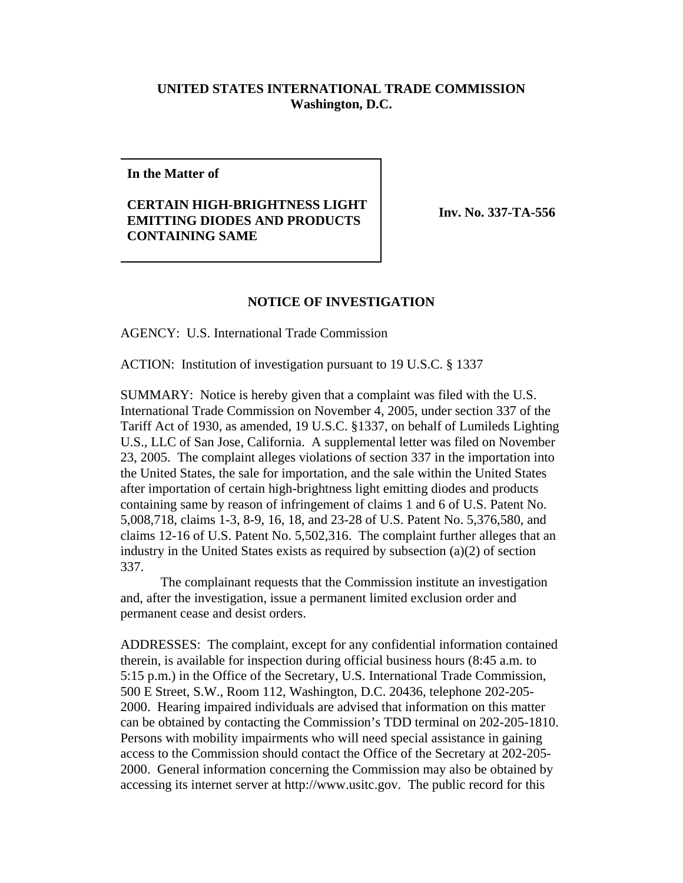## **UNITED STATES INTERNATIONAL TRADE COMMISSION Washington, D.C.**

**In the Matter of**

## **CERTAIN HIGH-BRIGHTNESS LIGHT EMITTING DIODES AND PRODUCTS CONTAINING SAME**

**Inv. No. 337-TA-556**

## **NOTICE OF INVESTIGATION**

AGENCY: U.S. International Trade Commission

ACTION: Institution of investigation pursuant to 19 U.S.C. § 1337

SUMMARY: Notice is hereby given that a complaint was filed with the U.S. International Trade Commission on November 4, 2005, under section 337 of the Tariff Act of 1930, as amended, 19 U.S.C. §1337, on behalf of Lumileds Lighting U.S., LLC of San Jose, California. A supplemental letter was filed on November 23, 2005. The complaint alleges violations of section 337 in the importation into the United States, the sale for importation, and the sale within the United States after importation of certain high-brightness light emitting diodes and products containing same by reason of infringement of claims 1 and 6 of U.S. Patent No. 5,008,718, claims 1-3, 8-9, 16, 18, and 23-28 of U.S. Patent No. 5,376,580, and claims 12-16 of U.S. Patent No. 5,502,316. The complaint further alleges that an industry in the United States exists as required by subsection (a)(2) of section 337.

The complainant requests that the Commission institute an investigation and, after the investigation, issue a permanent limited exclusion order and permanent cease and desist orders.

ADDRESSES: The complaint, except for any confidential information contained therein, is available for inspection during official business hours (8:45 a.m. to 5:15 p.m.) in the Office of the Secretary, U.S. International Trade Commission, 500 E Street, S.W., Room 112, Washington, D.C. 20436, telephone 202-205- 2000. Hearing impaired individuals are advised that information on this matter can be obtained by contacting the Commission's TDD terminal on 202-205-1810. Persons with mobility impairments who will need special assistance in gaining access to the Commission should contact the Office of the Secretary at 202-205- 2000. General information concerning the Commission may also be obtained by accessing its internet server at http://www.usitc.gov. The public record for this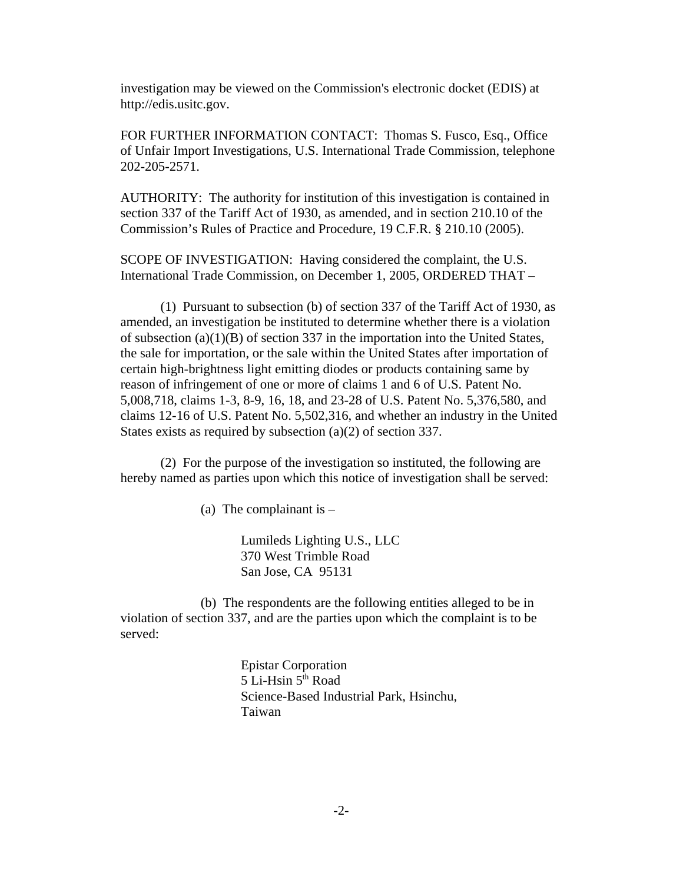investigation may be viewed on the Commission's electronic docket (EDIS) at http://edis.usitc.gov.

FOR FURTHER INFORMATION CONTACT: Thomas S. Fusco, Esq., Office of Unfair Import Investigations, U.S. International Trade Commission, telephone 202-205-2571.

AUTHORITY: The authority for institution of this investigation is contained in section 337 of the Tariff Act of 1930, as amended, and in section 210.10 of the Commission's Rules of Practice and Procedure, 19 C.F.R. § 210.10 (2005).

SCOPE OF INVESTIGATION: Having considered the complaint, the U.S. International Trade Commission, on December 1, 2005, ORDERED THAT –

(1) Pursuant to subsection (b) of section 337 of the Tariff Act of 1930, as amended, an investigation be instituted to determine whether there is a violation of subsection  $(a)(1)(B)$  of section 337 in the importation into the United States, the sale for importation, or the sale within the United States after importation of certain high-brightness light emitting diodes or products containing same by reason of infringement of one or more of claims 1 and 6 of U.S. Patent No. 5,008,718, claims 1-3, 8-9, 16, 18, and 23-28 of U.S. Patent No. 5,376,580, and claims 12-16 of U.S. Patent No. 5,502,316, and whether an industry in the United States exists as required by subsection (a)(2) of section 337.

(2) For the purpose of the investigation so instituted, the following are hereby named as parties upon which this notice of investigation shall be served:

(a) The complainant is –

Lumileds Lighting U.S., LLC 370 West Trimble Road San Jose, CA 95131

(b) The respondents are the following entities alleged to be in violation of section 337, and are the parties upon which the complaint is to be served:

> Epistar Corporation  $5$  Li-Hsin  $5<sup>th</sup>$  Road Science-Based Industrial Park, Hsinchu, Taiwan